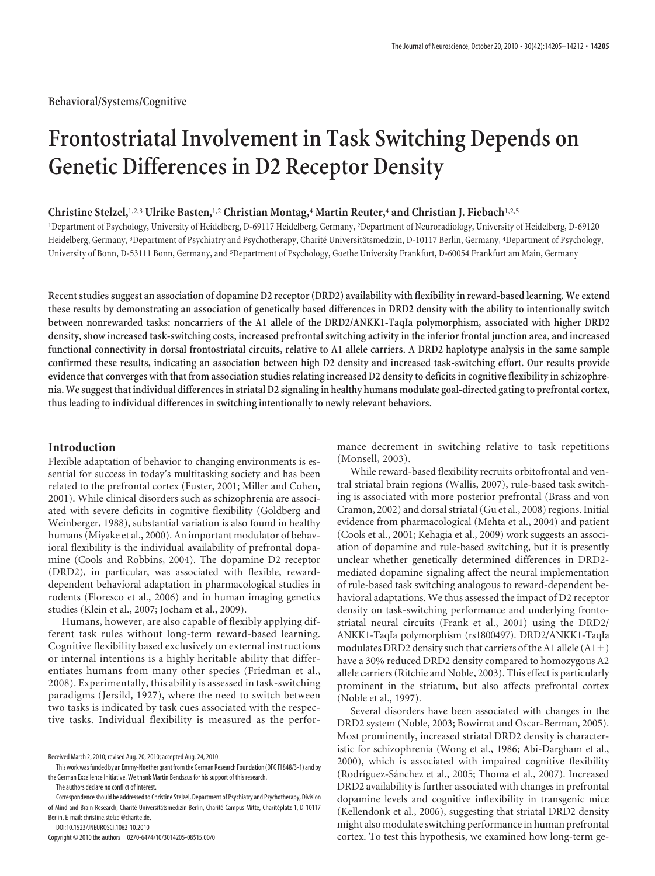# **Frontostriatal Involvement in Task Switching Depends on Genetic Differences in D2 Receptor Density**

# **Christine Stelzel,**1,2,3 **Ulrike Basten,**1,2 **Christian Montag,**<sup>4</sup> **Martin Reuter,**<sup>4</sup> **and Christian J. Fiebach**1,2,5

1 Department of Psychology, University of Heidelberg, D-69117 Heidelberg, Germany, <sup>2</sup> Department of Neuroradiology, University of Heidelberg, D-69120 Heidelberg, Germany, 3Department of Psychiatry and Psychotherapy, Charité Universitätsmedizin, D-10117 Berlin, Germany, 4Department of Psychology, University of Bonn, D-53111 Bonn, Germany, and <sup>5</sup> Department of Psychology, Goethe University Frankfurt, D-60054 Frankfurt am Main, Germany

**Recent studies suggest an association of dopamine D2 receptor (DRD2) availability with flexibility in reward-based learning. We extend these results by demonstrating an association of genetically based differences in DRD2 density with the ability to intentionally switch between nonrewarded tasks: noncarriers of the A1 allele of the DRD2/ANKK1-TaqIa polymorphism, associated with higher DRD2 density, show increased task-switching costs, increased prefrontal switching activity in the inferior frontal junction area, and increased functional connectivity in dorsal frontostriatal circuits, relative to A1 allele carriers. A DRD2 haplotype analysis in the same sample confirmed these results, indicating an association between high D2 density and increased task-switching effort. Our results provide evidence that converges with that from association studies relating increased D2 density to deficits in cognitive flexibility in schizophrenia. We suggest that individual differences in striatal D2 signaling in healthy humans modulate goal-directed gating to prefrontal cortex, thus leading to individual differences in switching intentionally to newly relevant behaviors.**

## **Introduction**

Flexible adaptation of behavior to changing environments is essential for success in today's multitasking society and has been related to the prefrontal cortex (Fuster, 2001; Miller and Cohen, 2001). While clinical disorders such as schizophrenia are associated with severe deficits in cognitive flexibility (Goldberg and Weinberger, 1988), substantial variation is also found in healthy humans (Miyake et al., 2000). An important modulator of behavioral flexibility is the individual availability of prefrontal dopamine (Cools and Robbins, 2004). The dopamine D2 receptor (DRD2), in particular, was associated with flexible, rewarddependent behavioral adaptation in pharmacological studies in rodents (Floresco et al., 2006) and in human imaging genetics studies (Klein et al., 2007; Jocham et al., 2009).

Humans, however, are also capable of flexibly applying different task rules without long-term reward-based learning. Cognitive flexibility based exclusively on external instructions or internal intentions is a highly heritable ability that differentiates humans from many other species (Friedman et al., 2008). Experimentally, this ability is assessed in task-switching paradigms (Jersild, 1927), where the need to switch between two tasks is indicated by task cues associated with the respective tasks. Individual flexibility is measured as the perfor-

Correspondence should be addressed to Christine Stelzel, Department of Psychiatry and Psychotherapy, Division of Mind and Brain Research, Charité Universitätsmedizin Berlin, Charité Campus Mitte, Charitéplatz 1, D-10117 Berlin. E-mail: christine.stelzel@charite.de.

DOI:10.1523/JNEUROSCI.1062-10.2010

Copyright © 2010 the authors 0270-6474/10/3014205-08\$15.00/0

mance decrement in switching relative to task repetitions (Monsell, 2003).

While reward-based flexibility recruits orbitofrontal and ventral striatal brain regions (Wallis, 2007), rule-based task switching is associated with more posterior prefrontal (Brass and von Cramon, 2002) and dorsal striatal (Gu et al., 2008) regions. Initial evidence from pharmacological (Mehta et al., 2004) and patient (Cools et al., 2001; Kehagia et al., 2009) work suggests an association of dopamine and rule-based switching, but it is presently unclear whether genetically determined differences in DRD2 mediated dopamine signaling affect the neural implementation of rule-based task switching analogous to reward-dependent behavioral adaptations. We thus assessed the impact of D2 receptor density on task-switching performance and underlying frontostriatal neural circuits (Frank et al., 2001) using the DRD2/ ANKK1-TaqIa polymorphism (rs1800497). DRD2/ANKK1-TaqIa modulates DRD2 density such that carriers of the A1 allele  $(A1+)$ have a 30% reduced DRD2 density compared to homozygous A2 allele carriers (Ritchie and Noble, 2003). This effect is particularly prominent in the striatum, but also affects prefrontal cortex (Noble et al., 1997).

Several disorders have been associated with changes in the DRD2 system (Noble, 2003; Bowirrat and Oscar-Berman, 2005). Most prominently, increased striatal DRD2 density is characteristic for schizophrenia (Wong et al., 1986; Abi-Dargham et al., 2000), which is associated with impaired cognitive flexibility (Rodríguez-Sánchez et al., 2005; Thoma et al., 2007). Increased DRD2 availability is further associated with changes in prefrontal dopamine levels and cognitive inflexibility in transgenic mice (Kellendonk et al., 2006), suggesting that striatal DRD2 density might also modulate switching performance in human prefrontal cortex. To test this hypothesis, we examined how long-term ge-

Received March 2, 2010; revised Aug. 20, 2010; accepted Aug. 24, 2010.

This work was funded by an Emmy-Noether grant from the German Research Foundation (DFG FI 848/3-1) and by the German Excellence Initiative. We thank Martin Bendszus for his support of this research.

The authors declare no conflict of interest.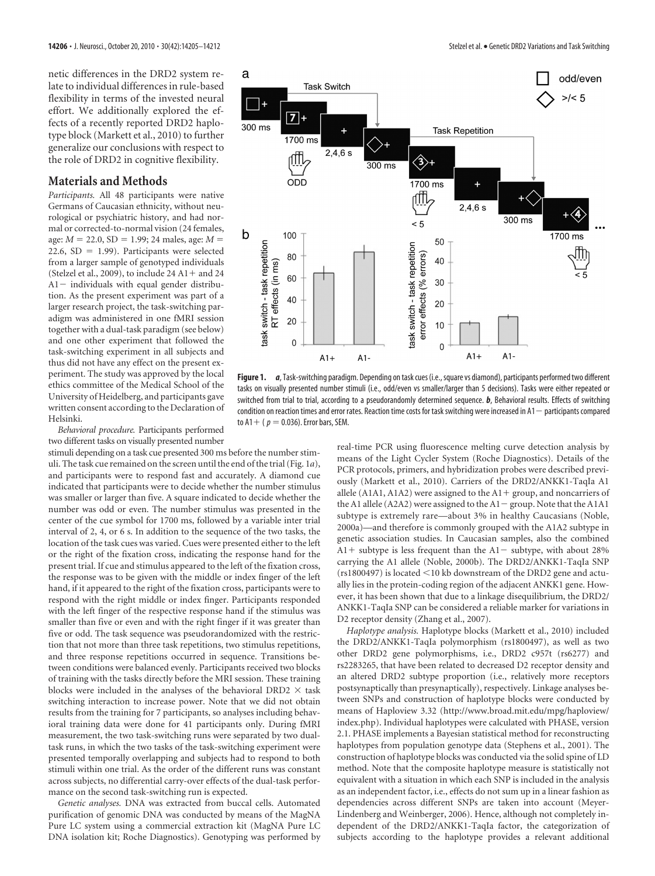netic differences in the DRD2 system relate to individual differences in rule-based flexibility in terms of the invested neural effort. We additionally explored the effects of a recently reported DRD2 haplotype block (Markett et al., 2010) to further generalize our conclusions with respect to the role of DRD2 in cognitive flexibility.

## **Materials and Methods**

*Participants.* All 48 participants were native Germans of Caucasian ethnicity, without neurological or psychiatric history, and had normal or corrected-to-normal vision (24 females, age:  $M = 22.0$ , SD = 1.99; 24 males, age:  $M =$  $22.6$ , SD = 1.99). Participants were selected from a larger sample of genotyped individuals (Stelzel et al., 2009), to include  $24$  A1 + and  $24$  $A1$  - individuals with equal gender distribution. As the present experiment was part of a larger research project, the task-switching paradigm was administered in one fMRI session together with a dual-task paradigm (see below) and one other experiment that followed the task-switching experiment in all subjects and thus did not have any effect on the present experiment. The study was approved by the local ethics committee of the Medical School of the University of Heidelberg, and participants gave written consent according to the Declaration of Helsinki.

*Behavioral procedure.* Participants performed two different tasks on visually presented number

stimuli depending on a task cue presented 300 ms before the number stimuli. The task cue remained on the screen until the end of the trial (Fig. 1*a*), and participants were to respond fast and accurately. A diamond cue indicated that participants were to decide whether the number stimulus was smaller or larger than five. A square indicated to decide whether the number was odd or even. The number stimulus was presented in the center of the cue symbol for 1700 ms, followed by a variable inter trial interval of 2, 4, or 6 s. In addition to the sequence of the two tasks, the location of the task cues was varied. Cues were presented either to the left or the right of the fixation cross, indicating the response hand for the present trial. If cue and stimulus appeared to the left of the fixation cross, the response was to be given with the middle or index finger of the left hand, if it appeared to the right of the fixation cross, participants were to respond with the right middle or index finger. Participants responded with the left finger of the respective response hand if the stimulus was smaller than five or even and with the right finger if it was greater than five or odd. The task sequence was pseudorandomized with the restriction that not more than three task repetitions, two stimulus repetitions, and three response repetitions occurred in sequence. Transitions between conditions were balanced evenly. Participants received two blocks of training with the tasks directly before the MRI session. These training blocks were included in the analyses of the behavioral DRD2  $\times$  task switching interaction to increase power. Note that we did not obtain results from the training for 7 participants, so analyses including behavioral training data were done for 41 participants only. During fMRI measurement, the two task-switching runs were separated by two dualtask runs, in which the two tasks of the task-switching experiment were presented temporally overlapping and subjects had to respond to both stimuli within one trial. As the order of the different runs was constant across subjects, no differential carry-over effects of the dual-task performance on the second task-switching run is expected.

*Genetic analyses.* DNA was extracted from buccal cells. Automated purification of genomic DNA was conducted by means of the MagNA Pure LC system using a commercial extraction kit (MagNA Pure LC DNA isolation kit; Roche Diagnostics). Genotyping was performed by



**Figure 1.** *a*, Task-switching paradigm. Depending on task cues (i.e.,square vs diamond), participants performed two different tasks on visually presented number stimuli (i.e., odd/even vs smaller/larger than 5 decisions). Tasks were either repeated or switched from trial to trial, according to a pseudorandomly determined sequence. *b*, Behavioral results. Effects of switching condition on reaction times and error rates. Reaction time costs for task switching were increased in  $A1 -$  participants compared to  $A1 + (p = 0.036)$ . Error bars, SEM.

real-time PCR using fluorescence melting curve detection analysis by means of the Light Cycler System (Roche Diagnostics). Details of the PCR protocols, primers, and hybridization probes were described previously (Markett et al., 2010). Carriers of the DRD2/ANKK1-TaqIa A1 allele (A1A1, A1A2) were assigned to the  $A1 +$  group, and noncarriers of the A1 allele (A2A2) were assigned to the  $A1 -$  group. Note that the A1A1 subtype is extremely rare—about 3% in healthy Caucasians (Noble, 2000a)—and therefore is commonly grouped with the A1A2 subtype in genetic association studies. In Caucasian samples, also the combined  $A1+$  subtype is less frequent than the  $A1-$  subtype, with about 28% carrying the A1 allele (Noble, 2000b). The DRD2/ANKK1-TaqIa SNP ( $rs1800497$ ) is located <10 kb downstream of the DRD2 gene and actually lies in the protein-coding region of the adjacent ANKK1 gene. However, it has been shown that due to a linkage disequilibrium, the DRD2/ ANKK1-TaqIa SNP can be considered a reliable marker for variations in D2 receptor density (Zhang et al., 2007).

*Haplotype analysis.* Haplotype blocks (Markett et al., 2010) included the DRD2/ANKK1-TaqIa polymorphism (rs1800497), as well as two other DRD2 gene polymorphisms, i.e., DRD2 c957t (rs6277) and rs2283265, that have been related to decreased D2 receptor density and an altered DRD2 subtype proportion (i.e., relatively more receptors postsynaptically than presynaptically), respectively. Linkage analyses between SNPs and construction of haplotype blocks were conducted by means of Haploview 3.32 (http://www.broad.mit.edu/mpg/haploview/ index.php). Individual haplotypes were calculated with PHASE, version 2.1. PHASE implements a Bayesian statistical method for reconstructing haplotypes from population genotype data (Stephens et al., 2001). The construction of haplotype blocks was conducted via the solid spine of LD method. Note that the composite haplotype measure is statistically not equivalent with a situation in which each SNP is included in the analysis as an independent factor, i.e., effects do not sum up in a linear fashion as dependencies across different SNPs are taken into account (Meyer-Lindenberg and Weinberger, 2006). Hence, although not completely independent of the DRD2/ANKK1-TaqIa factor, the categorization of subjects according to the haplotype provides a relevant additional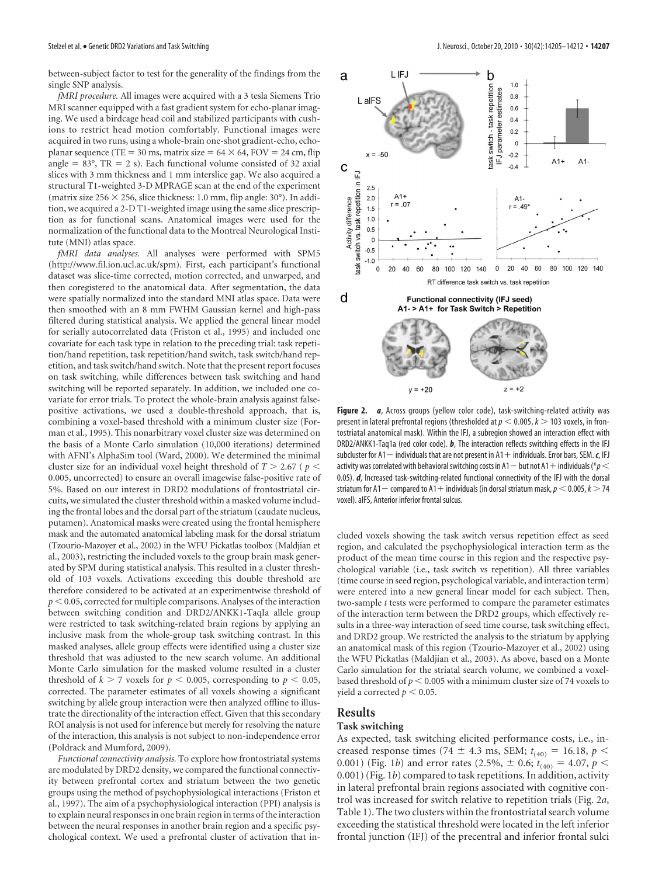between-subject factor to test for the generality of the findings from the single SNP analysis.

*fMRI procedure.* All images were acquired with a 3 tesla Siemens Trio MRI scanner equipped with a fast gradient system for echo-planar imaging. We used a birdcage head coil and stabilized participants with cushions to restrict head motion comfortably. Functional images were acquired in two runs, using a whole-brain one-shot gradient-echo, echoplanar sequence (TE = 30 ms, matrix size =  $64 \times 64$ , FOV = 24 cm, flip angle =  $83^\circ$ , TR = 2 s). Each functional volume consisted of 32 axial slices with 3 mm thickness and 1 mm interslice gap. We also acquired a structural T1-weighted 3-D MPRAGE scan at the end of the experiment (matrix size  $256 \times 256$ , slice thickness: 1.0 mm, flip angle: 30°). In addition, we acquired a 2-D T1-weighted image using the same slice prescription as for functional scans. Anatomical images were used for the normalization of the functional data to the Montreal Neurological Institute (MNI) atlas space.

*fMRI data analyses.* All analyses were performed with SPM5 (http://www.fil.ion.ucl.ac.uk/spm). First, each participant's functional dataset was slice-time corrected, motion corrected, and unwarped, and then coregistered to the anatomical data. After segmentation, the data were spatially normalized into the standard MNI atlas space. Data were then smoothed with an 8 mm FWHM Gaussian kernel and high-pass filtered during statistical analysis. We applied the general linear model for serially autocorrelated data (Friston et al., 1995) and included one covariate for each task type in relation to the preceding trial: task repetition/hand repetition, task repetition/hand switch, task switch/hand repetition, and task switch/hand switch. Note that the present report focuses on task switching, while differences between task switching and hand switching will be reported separately. In addition, we included one covariate for error trials. To protect the whole-brain analysis against falsepositive activations, we used a double-threshold approach, that is, combining a voxel-based threshold with a minimum cluster size (Forman et al., 1995). This nonarbitrary voxel cluster size was determined on the basis of a Monte Carlo simulation (10,000 iterations) determined with AFNI's AlphaSim tool (Ward, 2000). We determined the minimal cluster size for an individual voxel height threshold of  $T > 2.67$  ( $p <$ 0.005, uncorrected) to ensure an overall imagewise false-positive rate of 5%. Based on our interest in DRD2 modulations of frontostriatal circuits, we simulated the cluster threshold within a masked volume including the frontal lobes and the dorsal part of the striatum (caudate nucleus, putamen). Anatomical masks were created using the frontal hemisphere mask and the automated anatomical labeling mask for the dorsal striatum (Tzourio-Mazoyer et al., 2002) in the WFU Pickatlas toolbox (Maldjian et al., 2003), restricting the included voxels to the group brain mask generated by SPM during statistical analysis. This resulted in a cluster threshold of 103 voxels. Activations exceeding this double threshold are therefore considered to be activated at an experimentwise threshold of  $p < 0.05$ , corrected for multiple comparisons. Analyses of the interaction between switching condition and DRD2/ANKK1-TaqIa allele group were restricted to task switching-related brain regions by applying an inclusive mask from the whole-group task switching contrast. In this masked analyses, allele group effects were identified using a cluster size threshold that was adjusted to the new search volume. An additional Monte Carlo simulation for the masked volume resulted in a cluster threshold of  $k > 7$  voxels for  $p < 0.005$ , corresponding to  $p < 0.05$ , corrected. The parameter estimates of all voxels showing a significant switching by allele group interaction were then analyzed offline to illustrate the directionality of the interaction effect. Given that this secondary ROI analysis is not used for inference but merely for resolving the nature of the interaction, this analysis is not subject to non-independence error (Poldrack and Mumford, 2009).

*Functional connectivity analysis.* To explore how frontostriatal systems are modulated by DRD2 density, we compared the functional connectivity between prefrontal cortex and striatum between the two genetic groups using the method of psychophysiological interactions (Friston et al., 1997). The aim of a psychophysiological interaction (PPI) analysis is to explain neural responses in one brain region in terms of the interaction between the neural responses in another brain region and a specific psychological context. We used a prefrontal cluster of activation that in-



Figure 2. *a*, Across groups (yellow color code), task-switching-related activity was present in lateral prefrontal regions (thresholded at  $p < 0.005$ ,  $k > 103$  voxels, in frontostriatal anatomical mask). Within the IFJ, a subregion showed an interaction effect with DRD2/ANKK1-Taq1a (red color code). *b*, The interaction reflects switching effects in the IFJ subcluster for  $A1$  - individuals that are not present in  $A1$  + individuals. Error bars, SEM.  $c$ , IFJ activity was correlated with behavioral switching costs in A1  $-$  but not A1  $+$  individuals ( $*p$   $<$ 0.05). *d*, Increased task-switching-related functional connectivity of the IFJ with the dorsal striatum for A1 – compared to A1 + individuals (in dorsal striatum mask,  $p < 0.005$ ,  $k > 74$ voxel). aIFS, Anterior inferior frontal sulcus.

cluded voxels showing the task switch versus repetition effect as seed region, and calculated the psychophysiological interaction term as the product of the mean time course in this region and the respective psychological variable (i.e., task switch vs repetition). All three variables (time course in seed region, psychological variable, and interaction term) were entered into a new general linear model for each subject. Then, two-sample *t* tests were performed to compare the parameter estimates of the interaction term between the DRD2 groups, which effectively results in a three-way interaction of seed time course, task switching effect, and DRD2 group. We restricted the analysis to the striatum by applying an anatomical mask of this region (Tzourio-Mazoyer et al., 2002) using the WFU Pickatlas (Maldjian et al., 2003). As above, based on a Monte Carlo simulation for the striatal search volume, we combined a voxelbased threshold of  $p < 0.005$  with a minimum cluster size of 74 voxels to yield a corrected  $p < 0.05$ .

## **Results**

#### **Task switching**

As expected, task switching elicited performance costs, i.e., increased response times (74  $\pm$  4.3 ms, SEM;  $t_{(40)} = 16.18$ ,  $p <$ 0.001) (Fig. 1*b*) and error rates (2.5%,  $\pm$  0.6;  $t_{(40)} = 4.07$ ,  $p <$ 0.001) (Fig. 1*b*) compared to task repetitions. In addition, activity in lateral prefrontal brain regions associated with cognitive control was increased for switch relative to repetition trials (Fig. 2*a*, Table 1). The two clusters within the frontostriatal search volume exceeding the statistical threshold were located in the left inferior frontal junction (IFJ) of the precentral and inferior frontal sulci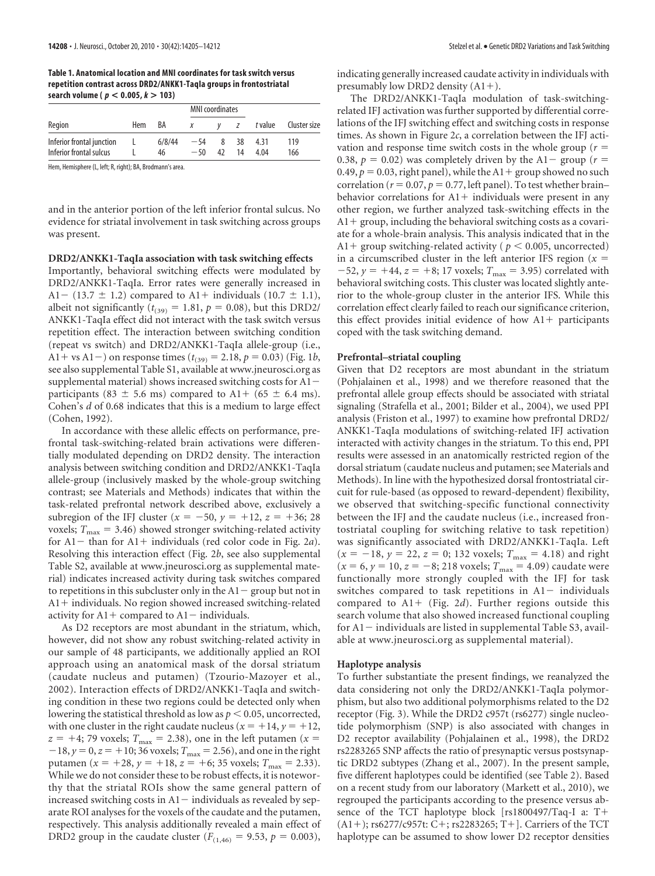**Table 1. Anatomical location and MNI coordinates for task switch versus repetition contrast across DRD2/ANKK1-TaqIa groups in frontostriatal search volume (** *p* **< 0.005,** *k* **> 103)**

|                                                      |     | BA           | <b>MNI</b> coordinates |         |          |              |              |
|------------------------------------------------------|-----|--------------|------------------------|---------|----------|--------------|--------------|
| Region                                               | Hem |              | X                      |         | Z        | t value      | Cluster size |
| Inferior frontal junction<br>Inferior frontal sulcus |     | 6/8/44<br>46 | $-54$<br>$-50$         | 8<br>42 | 38<br>14 | 4.31<br>4.04 | 119<br>166   |

Hem, Hemisphere (L, left; R, right); BA, Brodmann's area.

and in the anterior portion of the left inferior frontal sulcus. No evidence for striatal involvement in task switching across groups was present.

### **DRD2/ANKK1-TaqIa association with task switching effects**

Importantly, behavioral switching effects were modulated by DRD2/ANKK1-TaqIa. Error rates were generally increased in A1 – (13.7  $\pm$  1.2) compared to A1 + individuals (10.7  $\pm$  1.1), albeit not significantly ( $t_{(39)} = 1.81$ ,  $p = 0.08$ ), but this DRD2/ ANKK1-TaqIa effect did not interact with the task switch versus repetition effect. The interaction between switching condition (repeat vs switch) and DRD2/ANKK1-TaqIa allele-group (i.e.,  $A1 + vs A1 -$ ) on response times ( $t_{(39)} = 2.18$ ,  $p = 0.03$ ) (Fig. 1*b*, see also supplemental Table S1, available at www.jneurosci.org as supplemental material) shows increased switching costs for  $A1$ participants (83  $\pm$  5.6 ms) compared to A1+ (65  $\pm$  6.4 ms). Cohen's *d* of 0.68 indicates that this is a medium to large effect (Cohen, 1992).

In accordance with these allelic effects on performance, prefrontal task-switching-related brain activations were differentially modulated depending on DRD2 density. The interaction analysis between switching condition and DRD2/ANKK1-TaqIa allele-group (inclusively masked by the whole-group switching contrast; see Materials and Methods) indicates that within the task-related prefrontal network described above, exclusively a subregion of the IFJ cluster  $(x = -50, y = +12, z = +36; 28$ voxels;  $T_{\text{max}} = 3.46$ ) showed stronger switching-related activity for A1 - than for A1 + individuals (red color code in Fig. 2*a*). Resolving this interaction effect (Fig. 2*b*, see also supplemental Table S2, available at www.jneurosci.org as supplemental material) indicates increased activity during task switches compared to repetitions in this subcluster only in the  $A1$  group but not in  $A1 +$  individuals. No region showed increased switching-related activity for  $A1$  + compared to  $A1$  – individuals.

As D2 receptors are most abundant in the striatum, which, however, did not show any robust switching-related activity in our sample of 48 participants, we additionally applied an ROI approach using an anatomical mask of the dorsal striatum (caudate nucleus and putamen) (Tzourio-Mazoyer et al., 2002). Interaction effects of DRD2/ANKK1-TaqIa and switching condition in these two regions could be detected only when lowering the statistical threshold as low as  $p \leq 0.05$ , uncorrected, with one cluster in the right caudate nucleus ( $x = +14$ ,  $y = +12$ ,  $z = +4$ ; 79 voxels;  $T_{\text{max}} = 2.38$ ), one in the left putamen ( $x =$  $-18$ ,  $y = 0$ ,  $z = +10$ ; 36 voxels;  $T_{\text{max}} = 2.56$ ), and one in the right putamen ( $x = +28$ ,  $y = +18$ ,  $z = +6$ ; 35 voxels;  $T_{\text{max}} = 2.33$ ). While we do not consider these to be robust effects, it is noteworthy that the striatal ROIs show the same general pattern of increased switching costs in  $A1$  - individuals as revealed by separate ROI analyses for the voxels of the caudate and the putamen, respectively. This analysis additionally revealed a main effect of DRD2 group in the caudate cluster ( $F_{(1,46)} = 9.53$ ,  $p = 0.003$ ),

indicating generally increased caudate activity in individuals with presumably low DRD2 density  $(A1+)$ .

The DRD2/ANKK1-TaqIa modulation of task-switchingrelated IFJ activation was further supported by differential correlations of the IFJ switching effect and switching costs in response times. As shown in Figure 2*c*, a correlation between the IFJ activation and response time switch costs in the whole group ( $r =$ 0.38,  $p = 0.02$ ) was completely driven by the A1- group ( $r =$  $0.49, p = 0.03$ , right panel), while the  $A1 +$  group showed no such  $\text{correlation}$  ( $r = 0.07, p = 0.77, \text{left panel}$ ). To test whether brain– behavior correlations for  $A1$  + individuals were present in any other region, we further analyzed task-switching effects in the  $A1$  group, including the behavioral switching costs as a covariate for a whole-brain analysis. This analysis indicated that in the A1+ group switching-related activity ( $p < 0.005$ , uncorrected) in a circumscribed cluster in the left anterior IFS region  $(x =$  $-52$ ,  $y = +44$ ,  $z = +8$ ; 17 voxels;  $T_{\text{max}} = 3.95$ ) correlated with behavioral switching costs. This cluster was located slightly anterior to the whole-group cluster in the anterior IFS. While this correlation effect clearly failed to reach our significance criterion, this effect provides initial evidence of how  $A1$  + participants coped with the task switching demand.

#### **Prefrontal–striatal coupling**

Given that D2 receptors are most abundant in the striatum (Pohjalainen et al., 1998) and we therefore reasoned that the prefrontal allele group effects should be associated with striatal signaling (Strafella et al., 2001; Bilder et al., 2004), we used PPI analysis (Friston et al., 1997) to examine how prefrontal DRD2/ ANKK1-TaqIa modulations of switching-related IFJ activation interacted with activity changes in the striatum. To this end, PPI results were assessed in an anatomically restricted region of the dorsal striatum (caudate nucleus and putamen; see Materials and Methods). In line with the hypothesized dorsal frontostriatal circuit for rule-based (as opposed to reward-dependent) flexibility, we observed that switching-specific functional connectivity between the IFJ and the caudate nucleus (i.e., increased frontostriatal coupling for switching relative to task repetition) was significantly associated with DRD2/ANKK1-TaqIa. Left  $(x = -18, y = 22, z = 0; 132$  voxels;  $T_{\text{max}} = 4.18$ ) and right  $(x = 6, y = 10, z = -8; 218 \text{ voxels}; T_{\text{max}} = 4.09)$  caudate were functionally more strongly coupled with the IFJ for task switches compared to task repetitions in  $A1$  - individuals compared to  $A1 + (Fig. 2d)$ . Further regions outside this search volume that also showed increased functional coupling for  $A1$  - individuals are listed in supplemental Table S3, available at www.jneurosci.org as supplemental material).

#### **Haplotype analysis**

To further substantiate the present findings, we reanalyzed the data considering not only the DRD2/ANKK1-TaqIa polymorphism, but also two additional polymorphisms related to the D2 receptor (Fig. 3). While the DRD2 c957t (rs6277) single nucleotide polymorphism (SNP) is also associated with changes in D2 receptor availability (Pohjalainen et al., 1998), the DRD2 rs2283265 SNP affects the ratio of presynaptic versus postsynaptic DRD2 subtypes (Zhang et al., 2007). In the present sample, five different haplotypes could be identified (see Table 2). Based on a recent study from our laboratory (Markett et al., 2010), we regrouped the participants according to the presence versus absence of the TCT haplotype block [rs1800497/Taq-I a: T  $(A1+)$ ; rs6277/c957t: C+; rs2283265; T+]. Carriers of the TCT haplotype can be assumed to show lower D2 receptor densities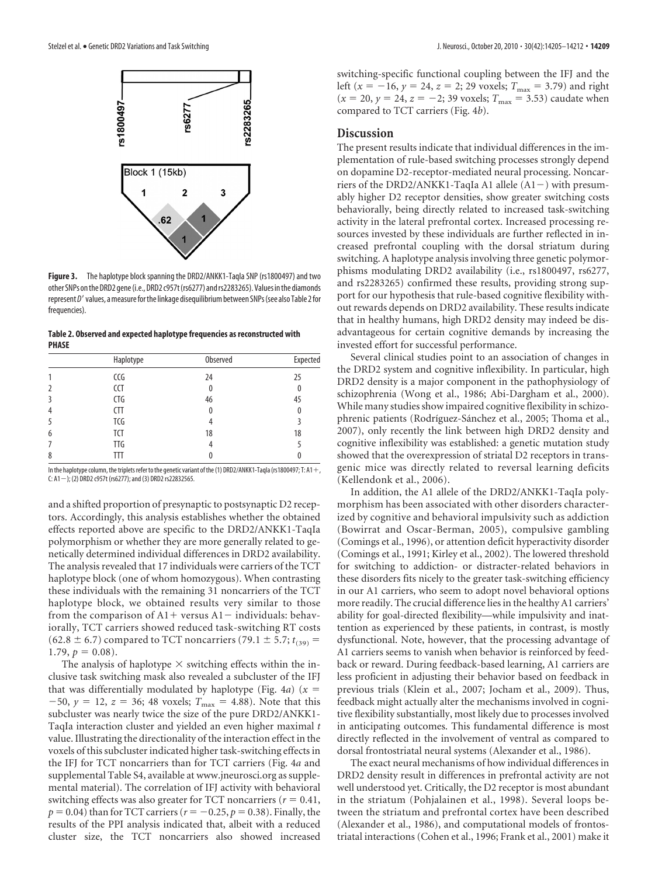

**Figure 3.** The haplotype block spanning the DRD2/ANKK1-Tagla SNP (rs1800497) and two other SNPs on the DRD2 gene (i.e., DRD2 c957t (rs6277) and rs2283265). Values in the diamonds represent D' values, a measure for the linkage disequilibrium between SNPs (see also Table 2 for frequencies).

**Table 2. Observed and expected haplotype frequencies as reconstructed with PHASE**

|                | Haplotype  | Observed     | Expected |
|----------------|------------|--------------|----------|
|                | CCG        | 24           | 25       |
| $\overline{2}$ | <b>CCT</b> | 0            | 0        |
| 3              | CTG        | 46           | 45       |
| 4              | CTT        | $\mathbf{0}$ | 0        |
| 5              | TCG        |              | 3        |
| 6              | <b>TCT</b> | 18           | 18       |
|                | <b>TTG</b> | 4            |          |
| 8              | TΤ         |              | 0        |
|                |            |              |          |

In the haplotype column, the triplets refer to the genetic variant of the (1) DRD2/ANKK1-TaqIa (rs1800497; T: A1 +, C: A1-); (2) DRD2 c957t (rs6277); and (3) DRD2 rs22832565.

and a shifted proportion of presynaptic to postsynaptic D2 receptors. Accordingly, this analysis establishes whether the obtained effects reported above are specific to the DRD2/ANKK1-TaqIa polymorphism or whether they are more generally related to genetically determined individual differences in DRD2 availability. The analysis revealed that 17 individuals were carriers of the TCT haplotype block (one of whom homozygous). When contrasting these individuals with the remaining 31 noncarriers of the TCT haplotype block, we obtained results very similar to those from the comparison of  $A1$  + versus  $A1$  – individuals: behaviorally, TCT carriers showed reduced task-switching RT costs  $(62.8 \pm 6.7)$  compared to TCT noncarriers (79.1  $\pm$  5.7;  $t_{(39)}$  =  $1.79, p = 0.08$ .

The analysis of haplotype  $\times$  switching effects within the inclusive task switching mask also revealed a subcluster of the IFJ that was differentially modulated by haplotype (Fig.  $4a$ ) ( $x =$  $-50$ ,  $y = 12$ ,  $z = 36$ ; 48 voxels;  $T_{\text{max}} = 4.88$ ). Note that this subcluster was nearly twice the size of the pure DRD2/ANKK1- TaqIa interaction cluster and yielded an even higher maximal *t* value. Illustrating the directionality of the interaction effect in the voxels of this subcluster indicated higher task-switching effects in the IFJ for TCT noncarriers than for TCT carriers (Fig. 4*a* and supplemental Table S4, available at www.jneurosci.org as supplemental material). The correlation of IFJ activity with behavioral switching effects was also greater for TCT noncarriers ( $r = 0.41$ ,  $p = 0.04$ ) than for TCT carriers ( $r = -0.25$ ,  $p = 0.38$ ). Finally, the results of the PPI analysis indicated that, albeit with a reduced cluster size, the TCT noncarriers also showed increased

switching-specific functional coupling between the IFJ and the left ( $x = -16$ ,  $y = 24$ ,  $z = 2$ ; 29 voxels;  $T_{\text{max}} = 3.79$ ) and right  $(x = 20, y = 24, z = -2; 39$  voxels;  $T_{\text{max}} = 3.53$ ) caudate when compared to TCT carriers (Fig. 4*b*).

## **Discussion**

The present results indicate that individual differences in the implementation of rule-based switching processes strongly depend on dopamine D2-receptor-mediated neural processing. Noncarriers of the DRD2/ANKK1-TaqIa A1 allele  $(A1-)$  with presumably higher D2 receptor densities, show greater switching costs behaviorally, being directly related to increased task-switching activity in the lateral prefrontal cortex. Increased processing resources invested by these individuals are further reflected in increased prefrontal coupling with the dorsal striatum during switching. A haplotype analysis involving three genetic polymorphisms modulating DRD2 availability (i.e., rs1800497, rs6277, and rs2283265) confirmed these results, providing strong support for our hypothesis that rule-based cognitive flexibility without rewards depends on DRD2 availability. These results indicate that in healthy humans, high DRD2 density may indeed be disadvantageous for certain cognitive demands by increasing the invested effort for successful performance.

Several clinical studies point to an association of changes in the DRD2 system and cognitive inflexibility. In particular, high DRD2 density is a major component in the pathophysiology of schizophrenia (Wong et al., 1986; Abi-Dargham et al., 2000). While many studies show impaired cognitive flexibility in schizophrenic patients (Rodríguez-Sánchez et al., 2005; Thoma et al., 2007), only recently the link between high DRD2 density and cognitive inflexibility was established: a genetic mutation study showed that the overexpression of striatal D2 receptors in transgenic mice was directly related to reversal learning deficits (Kellendonk et al., 2006).

In addition, the A1 allele of the DRD2/ANKK1-TaqIa polymorphism has been associated with other disorders characterized by cognitive and behavioral impulsivity such as addiction (Bowirrat and Oscar-Berman, 2005), compulsive gambling (Comings et al., 1996), or attention deficit hyperactivity disorder (Comings et al., 1991; Kirley et al., 2002). The lowered threshold for switching to addiction- or distracter-related behaviors in these disorders fits nicely to the greater task-switching efficiency in our A1 carriers, who seem to adopt novel behavioral options more readily. The crucial difference lies in the healthy A1 carriers' ability for goal-directed flexibility—while impulsivity and inattention as experienced by these patients, in contrast, is mostly dysfunctional. Note, however, that the processing advantage of A1 carriers seems to vanish when behavior is reinforced by feedback or reward. During feedback-based learning, A1 carriers are less proficient in adjusting their behavior based on feedback in previous trials (Klein et al., 2007; Jocham et al., 2009). Thus, feedback might actually alter the mechanisms involved in cognitive flexibility substantially, most likely due to processes involved in anticipating outcomes. This fundamental difference is most directly reflected in the involvement of ventral as compared to dorsal frontostriatal neural systems (Alexander et al., 1986).

The exact neural mechanisms of how individual differences in DRD2 density result in differences in prefrontal activity are not well understood yet. Critically, the D2 receptor is most abundant in the striatum (Pohjalainen et al., 1998). Several loops between the striatum and prefrontal cortex have been described (Alexander et al., 1986), and computational models of frontostriatal interactions (Cohen et al., 1996; Frank et al., 2001) make it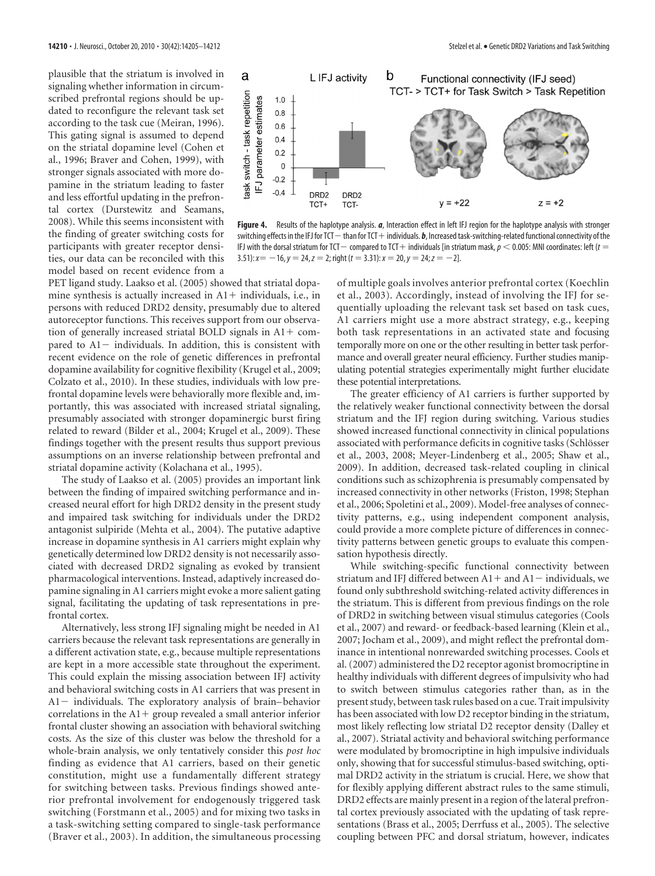plausible that the striatum is involved in signaling whether information in circumscribed prefrontal regions should be updated to reconfigure the relevant task set according to the task cue (Meiran, 1996). This gating signal is assumed to depend on the striatal dopamine level (Cohen et al., 1996; Braver and Cohen, 1999), with stronger signals associated with more dopamine in the striatum leading to faster and less effortful updating in the prefrontal cortex (Durstewitz and Seamans, 2008). While this seems inconsistent with the finding of greater switching costs for participants with greater receptor densities, our data can be reconciled with this model based on recent evidence from a



**Figure 4.** Results of the haplotype analysis. *a*, Interaction effect in left IFJ region for the haplotype analysis with stronger switching effects in the IFJ for TCT - than for TCT + individuals. *b*, Increased task-switching-related functional connectivity of the IFJ with the dorsal striatum for TCT— compared to TCT $+$  individuals [in striatum mask,  $\rho$   $<$  0.005: MNI coordinates: left ( $t=$  $3.51$ :  $x = -16$ ,  $y = 24$ ,  $z = 2$ ; right ( $t = 3.31$ ):  $x = 20$ ,  $y = 24$ ;  $z = -2$ ].

PET ligand study. Laakso et al. (2005) showed that striatal dopamine synthesis is actually increased in  $A1$  + individuals, i.e., in persons with reduced DRD2 density, presumably due to altered autoreceptor functions. This receives support from our observation of generally increased striatal BOLD signals in  $A1 + com$ pared to  $Al$  - individuals. In addition, this is consistent with recent evidence on the role of genetic differences in prefrontal dopamine availability for cognitive flexibility (Krugel et al., 2009; Colzato et al., 2010). In these studies, individuals with low prefrontal dopamine levels were behaviorally more flexible and, importantly, this was associated with increased striatal signaling, presumably associated with stronger dopaminergic burst firing related to reward (Bilder et al., 2004; Krugel et al., 2009). These findings together with the present results thus support previous assumptions on an inverse relationship between prefrontal and striatal dopamine activity (Kolachana et al., 1995).

The study of Laakso et al. (2005) provides an important link between the finding of impaired switching performance and increased neural effort for high DRD2 density in the present study and impaired task switching for individuals under the DRD2 antagonist sulpiride (Mehta et al., 2004). The putative adaptive increase in dopamine synthesis in A1 carriers might explain why genetically determined low DRD2 density is not necessarily associated with decreased DRD2 signaling as evoked by transient pharmacological interventions. Instead, adaptively increased dopamine signaling in A1 carriers might evoke a more salient gating signal, facilitating the updating of task representations in prefrontal cortex.

Alternatively, less strong IFJ signaling might be needed in A1 carriers because the relevant task representations are generally in a different activation state, e.g., because multiple representations are kept in a more accessible state throughout the experiment. This could explain the missing association between IFJ activity and behavioral switching costs in A1 carriers that was present in  $A1$  - individuals. The exploratory analysis of brain-behavior correlations in the  $A1$  group revealed a small anterior inferior frontal cluster showing an association with behavioral switching costs. As the size of this cluster was below the threshold for a whole-brain analysis, we only tentatively consider this *post hoc* finding as evidence that A1 carriers, based on their genetic constitution, might use a fundamentally different strategy for switching between tasks. Previous findings showed anterior prefrontal involvement for endogenously triggered task switching (Forstmann et al., 2005) and for mixing two tasks in a task-switching setting compared to single-task performance (Braver et al., 2003). In addition, the simultaneous processing

of multiple goals involves anterior prefrontal cortex (Koechlin et al., 2003). Accordingly, instead of involving the IFJ for sequentially uploading the relevant task set based on task cues, A1 carriers might use a more abstract strategy, e.g., keeping both task representations in an activated state and focusing temporally more on one or the other resulting in better task performance and overall greater neural efficiency. Further studies manipulating potential strategies experimentally might further elucidate these potential interpretations.

The greater efficiency of A1 carriers is further supported by the relatively weaker functional connectivity between the dorsal striatum and the IFJ region during switching. Various studies showed increased functional connectivity in clinical populations associated with performance deficits in cognitive tasks (Schlösser et al., 2003, 2008; Meyer-Lindenberg et al., 2005; Shaw et al., 2009). In addition, decreased task-related coupling in clinical conditions such as schizophrenia is presumably compensated by increased connectivity in other networks (Friston, 1998; Stephan et al., 2006; Spoletini et al., 2009). Model-free analyses of connectivity patterns, e.g., using independent component analysis, could provide a more complete picture of differences in connectivity patterns between genetic groups to evaluate this compensation hypothesis directly.

While switching-specific functional connectivity between striatum and IFJ differed between  $A1$  + and  $A1$  - individuals, we found only subthreshold switching-related activity differences in the striatum. This is different from previous findings on the role of DRD2 in switching between visual stimulus categories (Cools et al., 2007) and reward- or feedback-based learning (Klein et al., 2007; Jocham et al., 2009), and might reflect the prefrontal dominance in intentional nonrewarded switching processes. Cools et al. (2007) administered the D2 receptor agonist bromocriptine in healthy individuals with different degrees of impulsivity who had to switch between stimulus categories rather than, as in the present study, between task rules based on a cue. Trait impulsivity has been associated with low D2 receptor binding in the striatum, most likely reflecting low striatal D2 receptor density (Dalley et al., 2007). Striatal activity and behavioral switching performance were modulated by bromocriptine in high impulsive individuals only, showing that for successful stimulus-based switching, optimal DRD2 activity in the striatum is crucial. Here, we show that for flexibly applying different abstract rules to the same stimuli, DRD2 effects are mainly present in a region of the lateral prefrontal cortex previously associated with the updating of task representations (Brass et al., 2005; Derrfuss et al., 2005). The selective coupling between PFC and dorsal striatum, however, indicates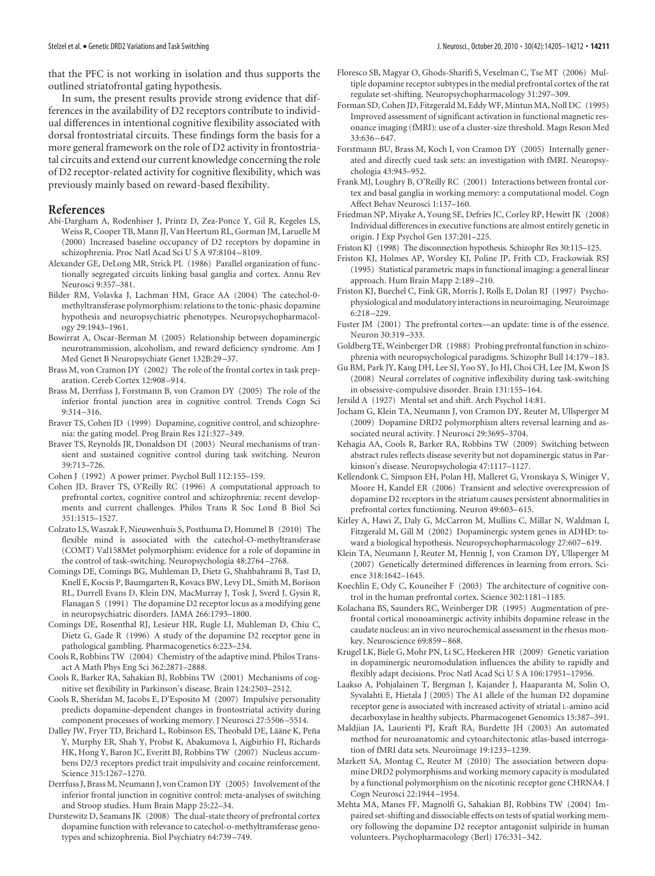that the PFC is not working in isolation and thus supports the outlined striatofrontal gating hypothesis.

In sum, the present results provide strong evidence that differences in the availability of D2 receptors contribute to individual differences in intentional cognitive flexibility associated with dorsal frontostriatal circuits. These findings form the basis for a more general framework on the role of D2 activity in frontostriatal circuits and extend our current knowledge concerning the role of D2 receptor-related activity for cognitive flexibility, which was previously mainly based on reward-based flexibility.

## **References**

- Abi-Dargham A, Rodenhiser J, Printz D, Zea-Ponce Y, Gil R, Kegeles LS, Weiss R, Cooper TB, Mann JJ, Van Heertum RL, Gorman JM, Laruelle M (2000) Increased baseline occupancy of D2 receptors by dopamine in schizophrenia. Proc Natl Acad Sci U S A 97:8104 –8109.
- Alexander GE, DeLong MR, Strick PL (1986) Parallel organization of functionally segregated circuits linking basal ganglia and cortex. Annu Rev Neurosci 9:357–381.
- Bilder RM, Volavka J, Lachman HM, Grace AA (2004) The catechol-0 methyltransferase polymorphism: relations to the tonic-phasic dopamine hypothesis and neuropsychiatric phenotypes. Neuropsychopharmacology 29:1943–1961.
- Bowirrat A, Oscar-Berman M (2005) Relationship between dopaminergic neurotransmission, alcoholism, and reward deficiency syndrome. Am J Med Genet B Neuropsychiatr Genet 132B:29 –37.
- Brass M, von Cramon DY (2002) The role of the frontal cortex in task preparation. Cereb Cortex 12:908 –914.
- Brass M, Derrfuss J, Forstmann B, von Cramon DY (2005) The role of the inferior frontal junction area in cognitive control. Trends Cogn Sci 9:314 –316.
- Braver TS, Cohen JD (1999) Dopamine, cognitive control, and schizophrenia: the gating model. Prog Brain Res 121:327–349.
- Braver TS, Reynolds JR, Donaldson DI (2003) Neural mechanisms of transient and sustained cognitive control during task switching. Neuron 39:713–726.
- Cohen J (1992) A power primer. Psychol Bull 112:155–159.
- Cohen JD, Braver TS, O'Reilly RC (1996) A computational approach to prefrontal cortex, cognitive control and schizophrenia: recent developments and current challenges. Philos Trans R Soc Lond B Biol Sci 351:1515–1527.
- Colzato LS, Waszak F, Nieuwenhuis S, Posthuma D, Hommel B (2010) The flexible mind is associated with the catechol-O-methyltransferase (COMT) Val158Met polymorphism: evidence for a role of dopamine in the control of task-switching. Neuropsychologia 48:2764 –2768.
- Comings DE, Comings BG, Muhleman D, Dietz G, Shahbahrami B, Tast D, Knell E, Kocsis P, Baumgarten R, Kovacs BW, Levy DL, Smith M, Borison RL, Durrell Evans D, Klein DN, MacMurray J, Tosk J, Sverd J, Gysin R, Flanagan S (1991) The dopamine D2 receptor locus as a modifying gene in neuropsychiatric disorders. JAMA 266:1793–1800.
- Comings DE, Rosenthal RJ, Lesieur HR, Rugle LJ, Muhleman D, Chiu C, Dietz G, Gade R (1996) A study of the dopamine D2 receptor gene in pathological gambling. Pharmacogenetics 6:223–234.
- Cools R, Robbins TW (2004) Chemistry of the adaptive mind. Philos Transact A Math Phys Eng Sci 362:2871–2888.
- Cools R, Barker RA, Sahakian BJ, Robbins TW (2001) Mechanisms of cognitive set flexibility in Parkinson's disease. Brain 124:2503–2512.
- Cools R, Sheridan M, Jacobs E, D'Esposito M (2007) Impulsive personality predicts dopamine-dependent changes in frontostriatal activity during component processes of working memory. J Neurosci 27:5506 –5514.
- Dalley JW, Fryer TD, Brichard L, Robinson ES, Theobald DE, Lääne K, Peña Y, Murphy ER, Shah Y, Probst K, Abakumova I, Aigbirhio FI, Richards HK, Hong Y, Baron JC, Everitt BJ, Robbins TW (2007) Nucleus accumbens D2/3 receptors predict trait impulsivity and cocaine reinforcement. Science 315:1267–1270.
- Derrfuss J, Brass M, Neumann J, von Cramon DY (2005) Involvement of the inferior frontal junction in cognitive control: meta-analyses of switching and Stroop studies. Hum Brain Mapp 25:22–34.
- Durstewitz D, Seamans JK (2008) The dual-state theory of prefrontal cortex dopamine function with relevance to catechol-o-methyltransferase genotypes and schizophrenia. Biol Psychiatry 64:739 –749.
- Floresco SB, Magyar O, Ghods-Sharifi S, Vexelman C, Tse MT (2006) Multiple dopamine receptor subtypes in the medial prefrontal cortex of the rat regulate set-shifting. Neuropsychopharmacology 31:297–309.
- Forman SD, Cohen JD, Fitzgerald M, EddyWF, Mintun MA, Noll DC (1995) Improved assessment of significant activation in functional magnetic resonance imaging (fMRI): use of a cluster-size threshold. Magn Reson Med  $33.636 - 647$
- Forstmann BU, Brass M, Koch I, von Cramon DY (2005) Internally generated and directly cued task sets: an investigation with fMRI. Neuropsychologia 43:943–952.
- Frank MJ, Loughry B, O'Reilly RC (2001) Interactions between frontal cortex and basal ganglia in working memory: a computational model. Cogn Affect Behav Neurosci 1:137–160.
- Friedman NP, Miyake A, Young SE, Defries JC, Corley RP, Hewitt JK (2008) Individual differences in executive functions are almost entirely genetic in origin. J Exp Psychol Gen 137:201–225.

Friston KJ (1998) The disconnection hypothesis. Schizophr Res 30:115–125.

- Friston KJ, Holmes AP, Worsley KJ, Poline JP, Frith CD, Frackowiak RSJ (1995) Statistical parametric maps in functional imaging: a general linear approach. Hum Brain Mapp 2:189 –210.
- Friston KJ, Buechel C, Fink GR, Morris J, Rolls E, Dolan RJ (1997) Psychophysiological and modulatory interactions in neuroimaging. Neuroimage 6:218 –229.
- Fuster JM (2001) The prefrontal cortex—an update: time is of the essence. Neuron 30:319 –333.
- Goldberg TE, Weinberger DR (1988) Probing prefrontal function in schizophrenia with neuropsychological paradigms. Schizophr Bull 14:179 –183.
- Gu BM, Park JY, Kang DH, Lee SJ, Yoo SY, Jo HJ, Choi CH, Lee JM, Kwon JS (2008) Neural correlates of cognitive inflexibility during task-switching in obsessive-compulsive disorder. Brain 131:155–164.
- Jersild A (1927) Mental set and shift. Arch Psychol 14:81.
- Jocham G, Klein TA, Neumann J, von Cramon DY, Reuter M, Ullsperger M (2009) Dopamine DRD2 polymorphism alters reversal learning and associated neural activity. J Neurosci 29:3695–3704.
- Kehagia AA, Cools R, Barker RA, Robbins TW (2009) Switching between abstract rules reflects disease severity but not dopaminergic status in Parkinson's disease. Neuropsychologia 47:1117–1127.
- Kellendonk C, Simpson EH, Polan HJ, Malleret G, Vronskaya S, Winiger V, Moore H, Kandel ER (2006) Transient and selective overexpression of dopamine D2 receptors in the striatum causes persistent abnormalities in prefrontal cortex functioning. Neuron 49:603–615.
- Kirley A, Hawi Z, Daly G, McCarron M, Mullins C, Millar N, Waldman I, Fitzgerald M, Gill M (2002) Dopaminergic system genes in ADHD: toward a biological hypothesis. Neuropsychopharmacology 27:607–619.
- Klein TA, Neumann J, Reuter M, Hennig J, von Cramon DY, Ullsperger M (2007) Genetically determined differences in learning from errors. Science 318:1642–1645.
- Koechlin E, Ody C, Kouneiher F (2003) The architecture of cognitive control in the human prefrontal cortex. Science 302:1181–1185.
- Kolachana BS, Saunders RC, Weinberger DR (1995) Augmentation of prefrontal cortical monoaminergic activity inhibits dopamine release in the caudate nucleus: an in vivo neurochemical assessment in the rhesus monkey. Neuroscience 69:859 –868.
- Krugel LK, Biele G, Mohr PN, Li SC, Heekeren HR (2009) Genetic variation in dopaminergic neuromodulation influences the ability to rapidly and flexibly adapt decisions. Proc Natl Acad Sci U S A 106:17951–17956.
- Laakso A, Pohjalainen T, Bergman J, Kajander J, Haaparanta M, Solin O, Syvalahti E, Hietala J (2005) The A1 allele of the human D2 dopamine receptor gene is associated with increased activity of striatal L-amino acid decarboxylase in healthy subjects. Pharmacogenet Genomics 15:387–391.
- Maldjian JA, Laurienti PJ, Kraft RA, Burdette JH (2003) An automated method for neuroanatomic and cytoarchitectonic atlas-based interrogation of fMRI data sets. Neuroimage 19:1233–1239.
- Markett SA, Montag C, Reuter M (2010) The association between dopamine DRD2 polymorphisms and working memory capacity is modulated by a functional polymorphism on the nicotinic receptor gene CHRNA4. J Cogn Neurosci 22:1944 –1954.
- Mehta MA, Manes FF, Magnolfi G, Sahakian BJ, Robbins TW (2004) Impaired set-shifting and dissociable effects on tests of spatial working memory following the dopamine D2 receptor antagonist sulpiride in human volunteers. Psychopharmacology (Berl) 176:331–342.